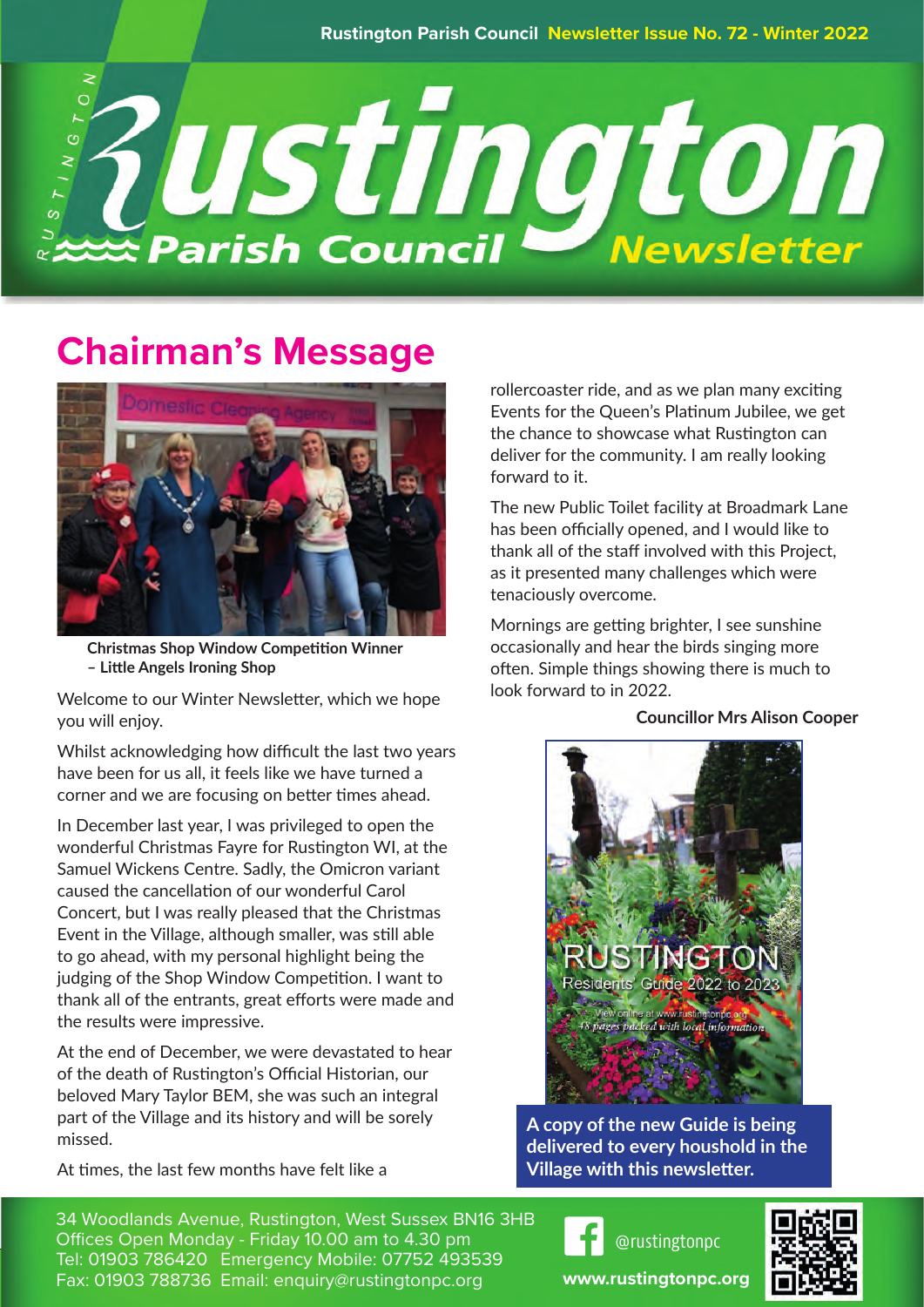

# **Chairman's Message**



**Christmas Shop Window Competition Winner – Little Angels Ironing Shop**

Welcome to our Winter Newsletter, which we hope you will enjoy.

Whilst acknowledging how difficult the last two years have been for us all, it feels like we have turned a corner and we are focusing on better times ahead.

In December last year, I was privileged to open the wonderful Christmas Fayre for Rustington WI, at the Samuel Wickens Centre. Sadly, the Omicron variant caused the cancellation of our wonderful Carol Concert, but I was really pleased that the Christmas Event in the Village, although smaller, was still able to go ahead, with my personal highlight being the judging of the Shop Window Competition. I want to thank all of the entrants, great efforts were made and the results were impressive.

At the end of December, we were devastated to hear of the death of Rustington's Official Historian, our beloved Mary Taylor BEM, she was such an integral part of the Village and its history and will be sorely missed.

At times, the last few months have felt like a

34 Woodlands Avenue, Rustington, West Sussex BN16 3HB Offices Open Monday - Friday 10.00 am to 4.30 pm Tel: 01903 786420 Emergency Mobile: 07752 493539 Fax: 01903 788736 Email: enquiry@rustingtonpc.org

rollercoaster ride, and as we plan many exciting Events for the Queen's Platinum Jubilee, we get the chance to showcase what Rustington can deliver for the community. I am really looking forward to it.

The new Public Toilet facility at Broadmark Lane has been officially opened, and I would like to thank all of the staff involved with this Project, as it presented many challenges which were tenaciously overcome.

Mornings are getting brighter, I see sunshine occasionally and hear the birds singing more often. Simple things showing there is much to look forward to in 2022.

#### **Councillor Mrs Alison Cooper**



**A copy of the new Guide is being delivered to every houshold in the Village with this newsletter.**





**www.rustingtonpc.org**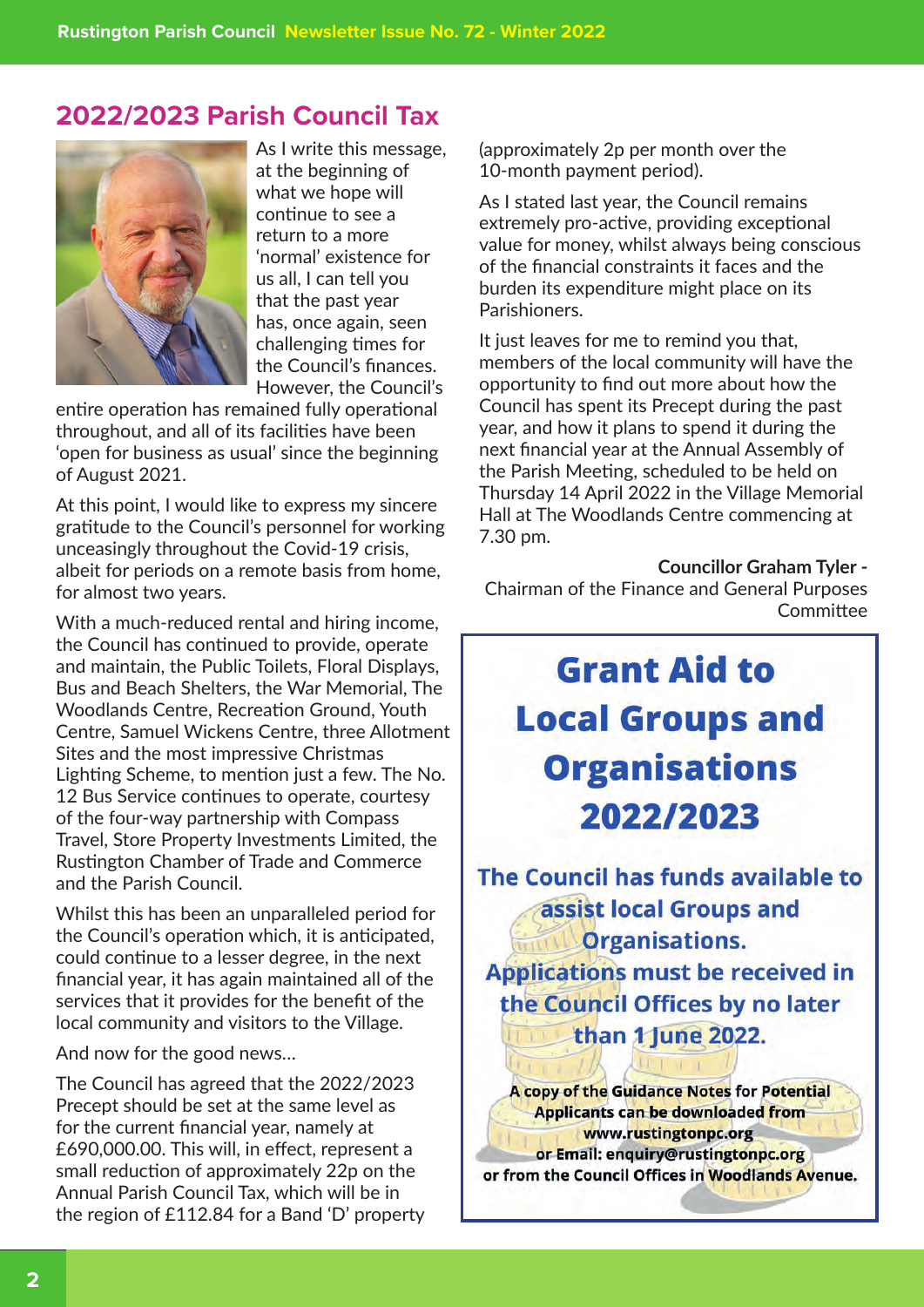### **2022/2023 Parish Council Tax**



As I write this message, at the beginning of what we hope will continue to see a return to a more 'normal' existence for us all, I can tell you that the past year has, once again, seen challenging times for the Council's finances. However, the Council's

entire operation has remained fully operational throughout, and all of its facilities have been 'open for business as usual' since the beginning of August 2021.

At this point, I would like to express my sincere gratitude to the Council's personnel for working unceasingly throughout the Covid-19 crisis, albeit for periods on a remote basis from home, for almost two years.

With a much-reduced rental and hiring income, the Council has continued to provide, operate and maintain, the Public Toilets, Floral Displays, Bus and Beach Shelters, the War Memorial, The Woodlands Centre, Recreation Ground, Youth Centre, Samuel Wickens Centre, three Allotment Sites and the most impressive Christmas Lighting Scheme, to mention just a few. The No. 12 Bus Service continues to operate, courtesy of the four-way partnership with Compass Travel, Store Property Investments Limited, the Rustington Chamber of Trade and Commerce and the Parish Council.

Whilst this has been an unparalleled period for the Council's operation which, it is anticipated, could continue to a lesser degree, in the next financial year, it has again maintained all of the services that it provides for the benefit of the local community and visitors to the Village.

And now for the good news…

The Council has agreed that the 2022/2023 Precept should be set at the same level as for the current financial year, namely at £690,000.00. This will, in effect, represent a small reduction of approximately 22p on the Annual Parish Council Tax, which will be in the region of £112.84 for a Band 'D' property (approximately 2p per month over the 10-month payment period).

As I stated last year, the Council remains extremely pro-active, providing exceptional value for money, whilst always being conscious of the financial constraints it faces and the burden its expenditure might place on its Parishioners.

It just leaves for me to remind you that, members of the local community will have the opportunity to find out more about how the Council has spent its Precept during the past year, and how it plans to spend it during the next financial year at the Annual Assembly of the Parish Meeting, scheduled to be held on Thursday 14 April 2022 in the Village Memorial Hall at The Woodlands Centre commencing at 7.30 pm.

**Councillor Graham Tyler -**

Chairman of the Finance and General Purposes **Committee** 

# **Grant Aid to Local Groups and Organisations** 2022/2023

The Council has funds available to assist local Groups and **Organisations. Applications must be received in** the Council Offices by no later

than 1 June 2022.

A copy of the Guidance Notes for Potential **Applicants can be downloaded from** www.rustingtonpc.org or Email: enquiry@rustingtonpc.org or from the Council Offices in Woodlands Avenue.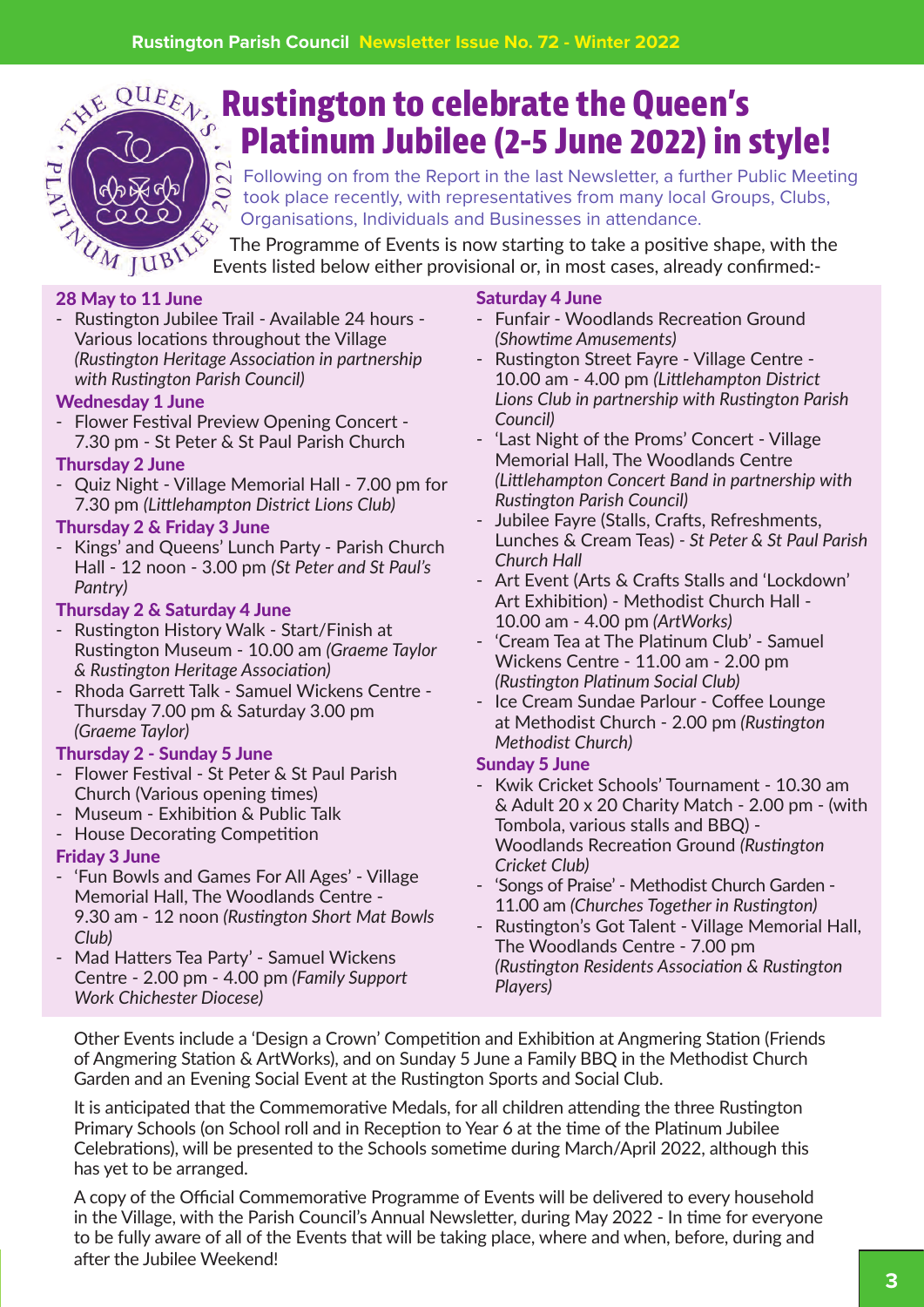

# **Rustington to celebrate the Queen's Platinum Jubilee (2-5 June 2022) in style!**

 $\sum_{n=1}^{\infty}$  Following on from the Report in the last Newsletter, a further Public Meeting took place recently, with representatives from many local Groups, Clubs, Organisations, Individuals and Businesses in attendance.

The Programme of Events is now starting to take a positive shape, with the Events listed below either provisional or, in most cases, already confirmed:-

#### 28 May to 11 June

- Rustington Jubilee Trail - Available 24 hours - Various locations throughout the Village *(Rustington Heritage Association in partnership with Rustington Parish Council)*

#### Wednesday 1 June

- Flower Festival Preview Opening Concert - 7.30 pm - St Peter & St Paul Parish Church

#### Thursday 2 June

- Quiz Night - Village Memorial Hall - 7.00 pm for 7.30 pm *(Littlehampton District Lions Club)*

#### Thursday 2 & Friday 3 June

- Kings' and Queens' Lunch Party - Parish Church Hall - 12 noon - 3.00 pm *(St Peter and St Paul's Pantry)*

#### Thursday 2 & Saturday 4 June

- Rustington History Walk Start/Finish at Rustington Museum - 10.00 am *(Graeme Taylor & Rustington Heritage Association)*
- Rhoda Garrett Talk Samuel Wickens Centre Thursday 7.00 pm & Saturday 3.00 pm *(Graeme Taylor)*

#### Thursday 2 - Sunday 5 June

- Flower Festival St Peter & St Paul Parish Church (Various opening times)
- Museum Exhibition & Public Talk
- House Decorating Competition

#### Friday 3 June

- 'Fun Bowls and Games For All Ages' Village Memorial Hall, The Woodlands Centre - 9.30 am - 12 noon *(Rustington Short Mat Bowls Club)*
- Mad Hatters Tea Party' Samuel Wickens Centre - 2.00 pm - 4.00 pm *(Family Support Work Chichester Diocese)*

#### Saturday 4 June

- Funfair Woodlands Recreation Ground *(Showtime Amusements)*
- Rustington Street Fayre Village Centre 10.00 am - 4.00 pm *(Littlehampton District Lions Club in partnership with Rustington Parish Council)*
- 'Last Night of the Proms' Concert Village Memorial Hall, The Woodlands Centre *(Littlehampton Concert Band in partnership with Rustington Parish Council)*
- Jubilee Fayre (Stalls, Crafts, Refreshments, Lunches & Cream Teas) *- St Peter & St Paul Parish Church Hall*
- Art Event (Arts & Crafts Stalls and 'Lockdown' Art Exhibition) - Methodist Church Hall - 10.00 am - 4.00 pm *(ArtWorks)*
- 'Cream Tea at The Platinum Club' Samuel Wickens Centre - 11.00 am - 2.00 pm *(Rustington Platinum Social Club)*
- Ice Cream Sundae Parlour Coffee Lounge at Methodist Church - 2.00 pm *(Rustington Methodist Church)*

#### Sunday 5 June

- Kwik Cricket Schools' Tournament 10.30 am & Adult 20 x 20 Charity Match - 2.00 pm - (with Tombola, various stalls and BBQ) - Woodlands Recreation Ground *(Rustington Cricket Club)*
- 'Songs of Praise' Methodist Church Garden 11.00 am *(Churches Together in Rustington)*
- Rustington's Got Talent Village Memorial Hall, The Woodlands Centre - 7.00 pm *(Rustington Residents Association & Rustington Players)*

Other Events include a 'Design a Crown' Competition and Exhibition at Angmering Station (Friends of Angmering Station & ArtWorks), and on Sunday 5 June a Family BBQ in the Methodist Church Garden and an Evening Social Event at the Rustington Sports and Social Club.

It is anticipated that the Commemorative Medals, for all children attending the three Rustington Primary Schools (on School roll and in Reception to Year 6 at the time of the Platinum Jubilee Celebrations), will be presented to the Schools sometime during March/April 2022, although this has yet to be arranged.

A copy of the Official Commemorative Programme of Events will be delivered to every household in the Village, with the Parish Council's Annual Newsletter, during May 2022 - In time for everyone to be fully aware of all of the Events that will be taking place, where and when, before, during and after the Jubilee Weekend!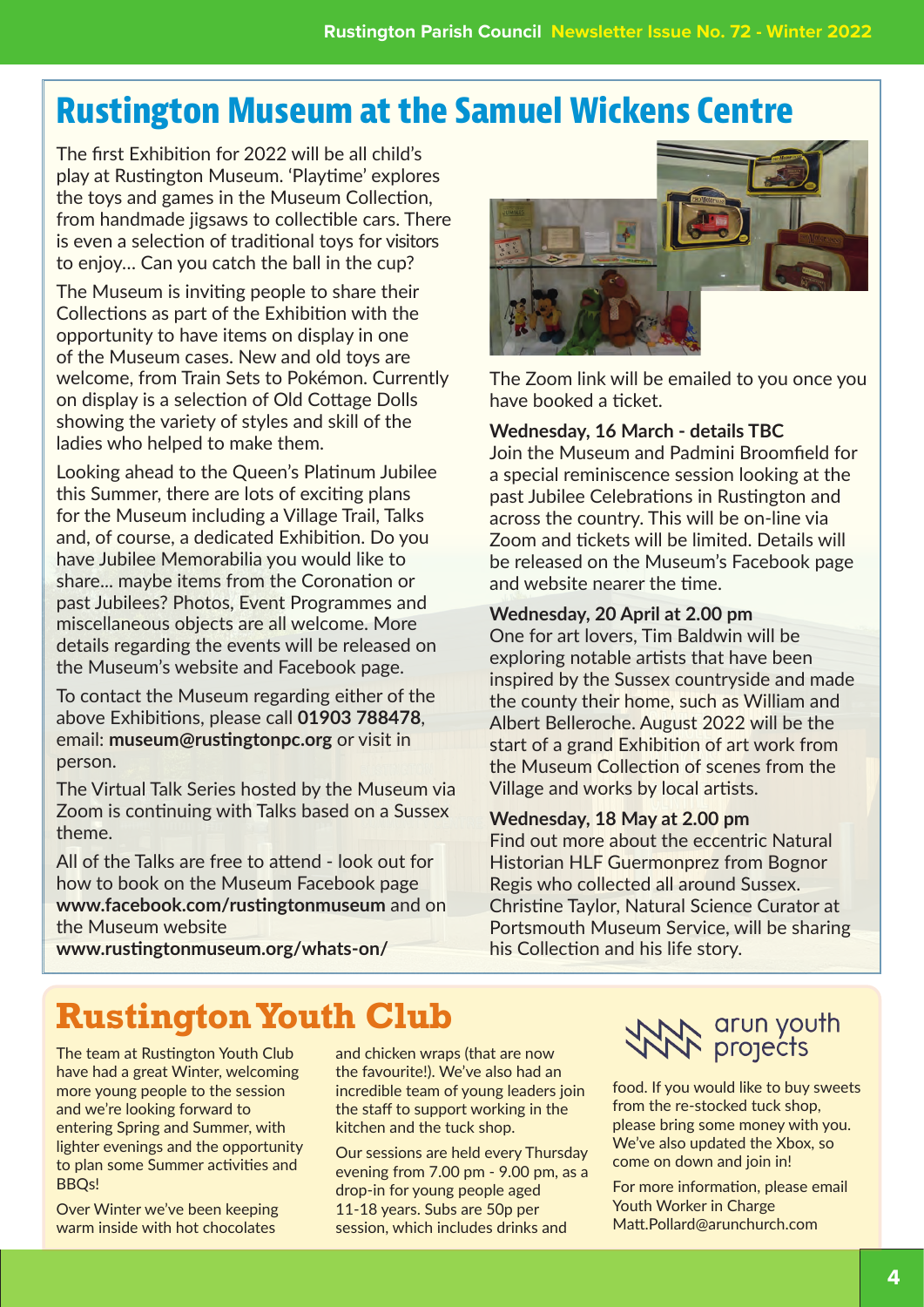# **Rustington Museum at the Samuel Wickens Centre**

The first Exhibition for 2022 will be all child's play at Rustington Museum. 'Playtime' explores the toys and games in the Museum Collection, from handmade jigsaws to collectible cars. There is even a selection of traditional toys for visitors to enjoy… Can you catch the ball in the cup?

The Museum is inviting people to share their Collections as part of the Exhibition with the opportunity to have items on display in one of the Museum cases. New and old toys are welcome, from Train Sets to Pokémon. Currently on display is a selection of Old Cottage Dolls showing the variety of styles and skill of the ladies who helped to make them.

Looking ahead to the Queen's Platinum Jubilee this Summer, there are lots of exciting plans for the Museum including a Village Trail, Talks and, of course, a dedicated Exhibition. Do you have Jubilee Memorabilia you would like to share... maybe items from the Coronation or past Jubilees? Photos, Event Programmes and miscellaneous objects are all welcome. More details regarding the events will be released on the Museum's website and Facebook page.

To contact the Museum regarding either of the above Exhibitions, please call **01903 788478**, email: **museum@rustingtonpc.org** or visit in person.

The Virtual Talk Series hosted by the Museum via Zoom is continuing with Talks based on a Sussex theme.

All of the Talks are free to attend - look out for how to book on the Museum Facebook page **www.facebook.com/rustingtonmuseum** and on the Museum website



The Zoom link will be emailed to you once you have booked a ticket.

#### **Wednesday, 16 March - details TBC**

Join the Museum and Padmini Broomfield for a special reminiscence session looking at the past Jubilee Celebrations in Rustington and across the country. This will be on-line via Zoom and tickets will be limited. Details will be released on the Museum's Facebook page and website nearer the time.

#### **Wednesday, 20 April at 2.00 pm**

One for art lovers, Tim Baldwin will be exploring notable artists that have been inspired by the Sussex countryside and made the county their home, such as William and Albert Belleroche. August 2022 will be the start of a grand Exhibition of art work from the Museum Collection of scenes from the Village and works by local artists.

#### **Wednesday, 18 May at 2.00 pm**

Find out more about the eccentric Natural Historian HLF Guermonprez from Bognor Regis who collected all around Sussex. Christine Taylor, Natural Science Curator at Portsmouth Museum Service, will be sharing his Collection and his life story.

**www.rustingtonmuseum.org/whats-on/**

# **Rustington Youth Club**

The team at Rustington Youth Club have had a great Winter, welcoming more young people to the session and we're looking forward to entering Spring and Summer, with lighter evenings and the opportunity to plan some Summer activities and BBQs!

Over Winter we've been keeping warm inside with hot chocolates

and chicken wraps (that are now the favourite!). We've also had an incredible team of young leaders join the staff to support working in the kitchen and the tuck shop.

Our sessions are held every Thursday evening from 7.00 pm - 9.00 pm, as a drop-in for young people aged 11-18 years. Subs are 50p per session, which includes drinks and

# **ANA** arun youth

food. If you would like to buy sweets from the re-stocked tuck shop, please bring some money with you. We've also updated the Xbox, so come on down and join in!

For more information, please email Youth Worker in Charge Matt.Pollard@arunchurch.com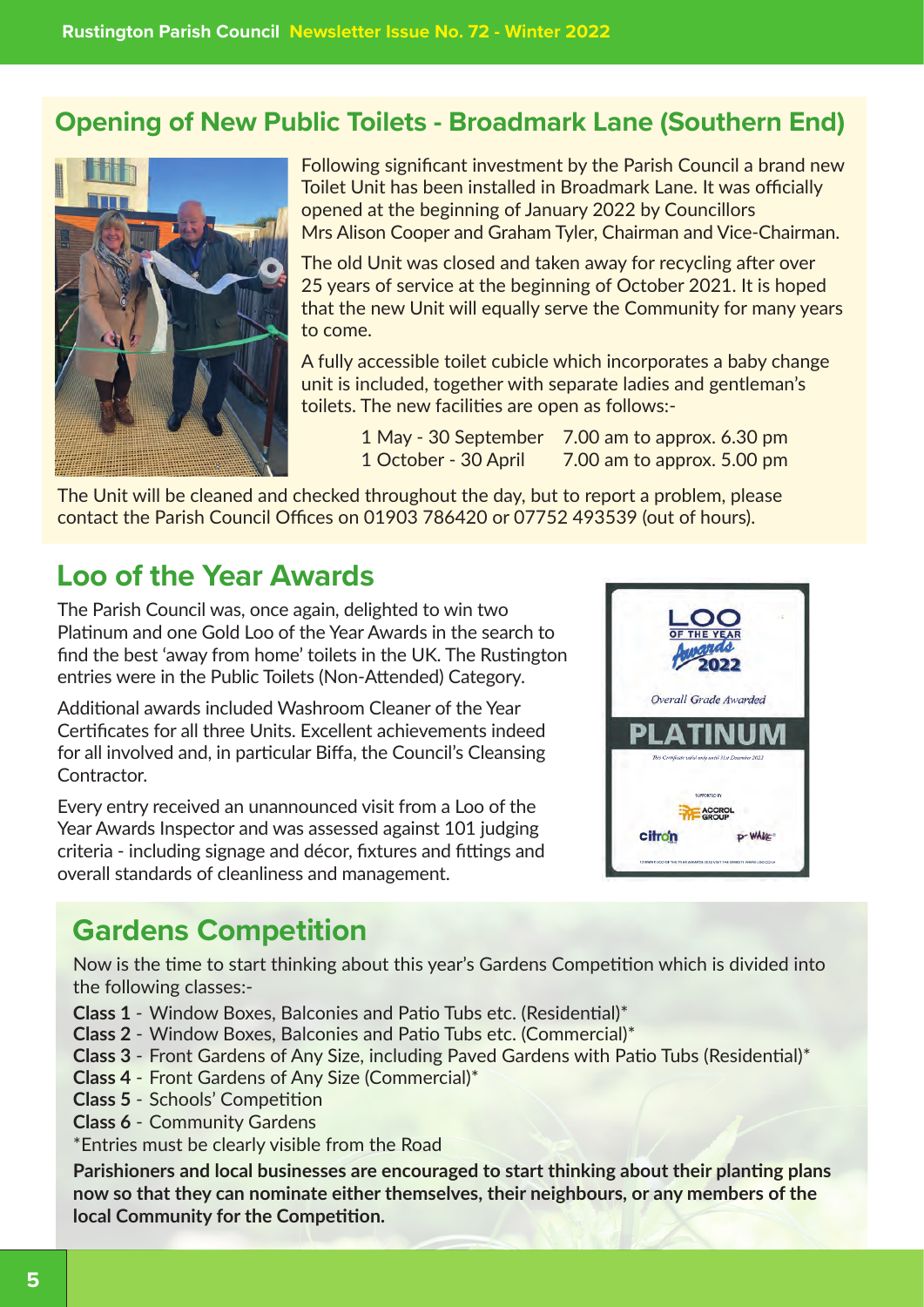### **Opening of New Public Toilets - Broadmark Lane (Southern End)**



Following significant investment by the Parish Council a brand new Toilet Unit has been installed in Broadmark Lane. It was officially opened at the beginning of January 2022 by Councillors Mrs Alison Cooper and Graham Tyler, Chairman and Vice-Chairman.

The old Unit was closed and taken away for recycling after over 25 years of service at the beginning of October 2021. It is hoped that the new Unit will equally serve the Community for many years to come.

A fully accessible toilet cubicle which incorporates a baby change unit is included, together with separate ladies and gentleman's toilets. The new facilities are open as follows:-

> 1 May - 30 September 7.00 am to approx. 6.30 pm 1 October - 30 April 7.00 am to approx. 5.00 pm

The Unit will be cleaned and checked throughout the day, but to report a problem, please contact the Parish Council Offices on 01903 786420 or 07752 493539 (out of hours).

## **Loo of the Year Awards**

The Parish Council was, once again, delighted to win two Platinum and one Gold Loo of the Year Awards in the search to find the best 'away from home' toilets in the UK. The Rustington entries were in the Public Toilets (Non-Attended) Category.

Additional awards included Washroom Cleaner of the Year Certificates for all three Units. Excellent achievements indeed for all involved and, in particular Biffa, the Council's Cleansing Contractor.

Every entry received an unannounced visit from a Loo of the Year Awards Inspector and was assessed against 101 judging criteria - including signage and décor, fixtures and fittings and overall standards of cleanliness and management.



## **Gardens Competition**

Now is the time to start thinking about this year's Gardens Competition which is divided into the following classes:-

- **Class 1**  Window Boxes, Balconies and Patio Tubs etc. (Residential)\*
- **Class 2** Window Boxes, Balconies and Patio Tubs etc. (Commercial)\*
- **Class 3** Front Gardens of Any Size, including Paved Gardens with Patio Tubs (Residential)\*
- **Class 4** Front Gardens of Any Size (Commercial)\*
- **Class 5** Schools' Competition
- **Class 6** Community Gardens

\*Entries must be clearly visible from the Road

**Parishioners and local businesses are encouraged to start thinking about their planting plans now so that they can nominate either themselves, their neighbours, or any members of the local Community for the Competition.**